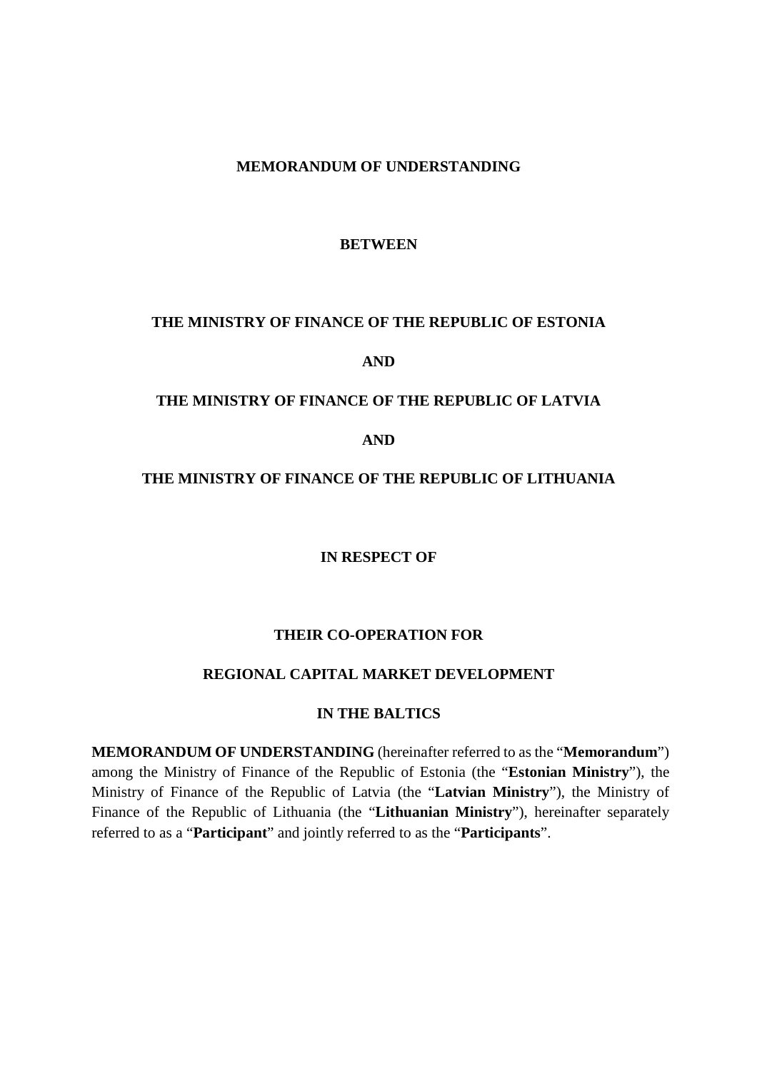#### **MEMORANDUM OF UNDERSTANDING**

#### **BETWEEN**

#### **THE MINISTRY OF FINANCE OF THE REPUBLIC OF ESTONIA**

**AND** 

#### **THE MINISTRY OF FINANCE OF THE REPUBLIC OF LATVIA**

**AND** 

#### **THE MINISTRY OF FINANCE OF THE REPUBLIC OF LITHUANIA**

**IN RESPECT OF** 

## **THEIR CO-OPERATION FOR**

#### **REGIONAL CAPITAL MARKET DEVELOPMENT**

#### **IN THE BALTICS**

**MEMORANDUM OF UNDERSTANDING** (hereinafter referred to as the "**Memorandum**") among the Ministry of Finance of the Republic of Estonia (the "**Estonian Ministry**"), the Ministry of Finance of the Republic of Latvia (the "**Latvian Ministry**"), the Ministry of Finance of the Republic of Lithuania (the "**Lithuanian Ministry**"), hereinafter separately referred to as a "**Participant**" and jointly referred to as the "**Participants**".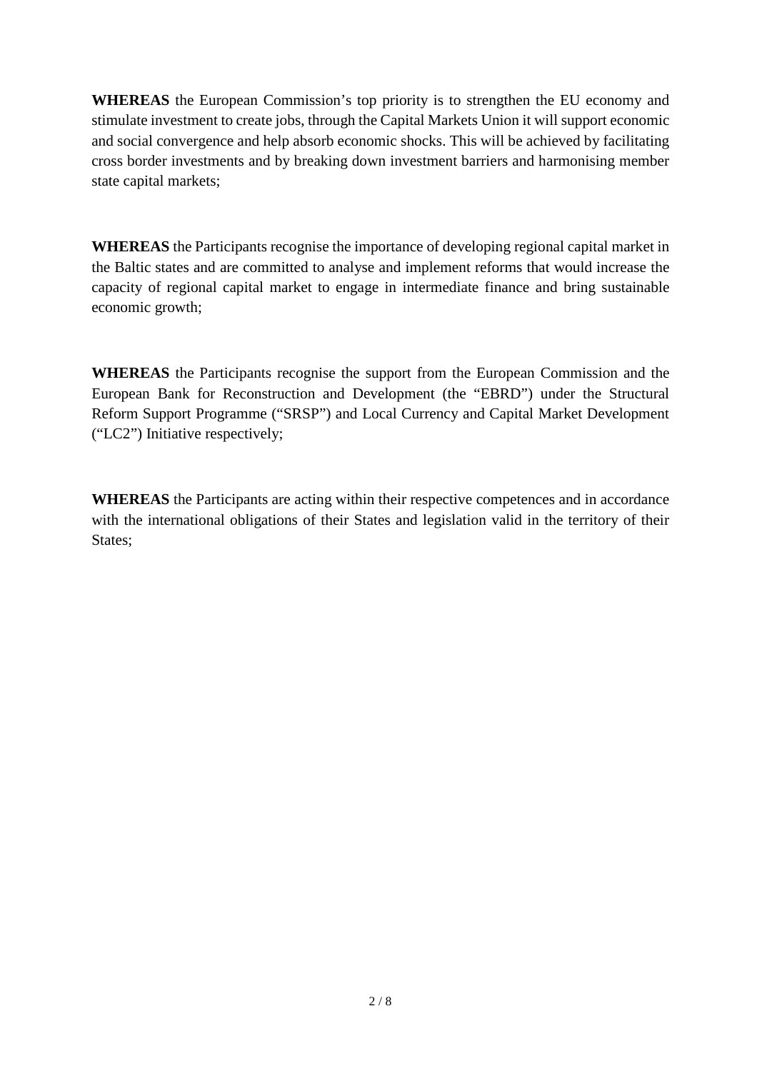**WHEREAS** the European Commission's top priority is to strengthen the EU economy and stimulate investment to create jobs, through the Capital Markets Union it will support economic and social convergence and help absorb economic shocks. This will be achieved by facilitating cross border investments and by breaking down investment barriers and harmonising member state capital markets;

**WHEREAS** the Participants recognise the importance of developing regional capital market in the Baltic states and are committed to analyse and implement reforms that would increase the capacity of regional capital market to engage in intermediate finance and bring sustainable economic growth;

**WHEREAS** the Participants recognise the support from the European Commission and the European Bank for Reconstruction and Development (the "EBRD") under the Structural Reform Support Programme ("SRSP") and Local Currency and Capital Market Development ("LC2") Initiative respectively;

**WHEREAS** the Participants are acting within their respective competences and in accordance with the international obligations of their States and legislation valid in the territory of their States;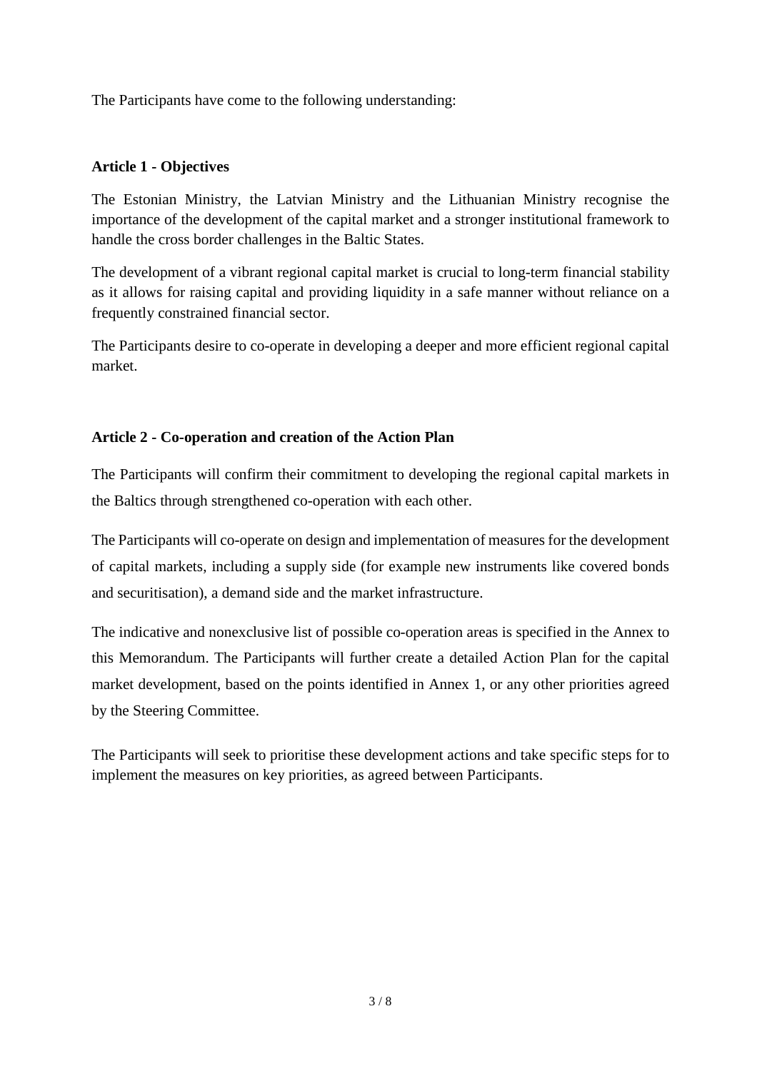The Participants have come to the following understanding:

## **Article 1 - Objectives**

The Estonian Ministry, the Latvian Ministry and the Lithuanian Ministry recognise the importance of the development of the capital market and a stronger institutional framework to handle the cross border challenges in the Baltic States.

The development of a vibrant regional capital market is crucial to long-term financial stability as it allows for raising capital and providing liquidity in a safe manner without reliance on a frequently constrained financial sector.

The Participants desire to co-operate in developing a deeper and more efficient regional capital market.

# **Article 2 - Co-operation and creation of the Action Plan**

The Participants will confirm their commitment to developing the regional capital markets in the Baltics through strengthened co-operation with each other.

The Participants will co-operate on design and implementation of measures for the development of capital markets, including a supply side (for example new instruments like covered bonds and securitisation), a demand side and the market infrastructure.

The indicative and nonexclusive list of possible co-operation areas is specified in the Annex to this Memorandum. The Participants will further create a detailed Action Plan for the capital market development, based on the points identified in Annex 1, or any other priorities agreed by the Steering Committee.

The Participants will seek to prioritise these development actions and take specific steps for to implement the measures on key priorities, as agreed between Participants.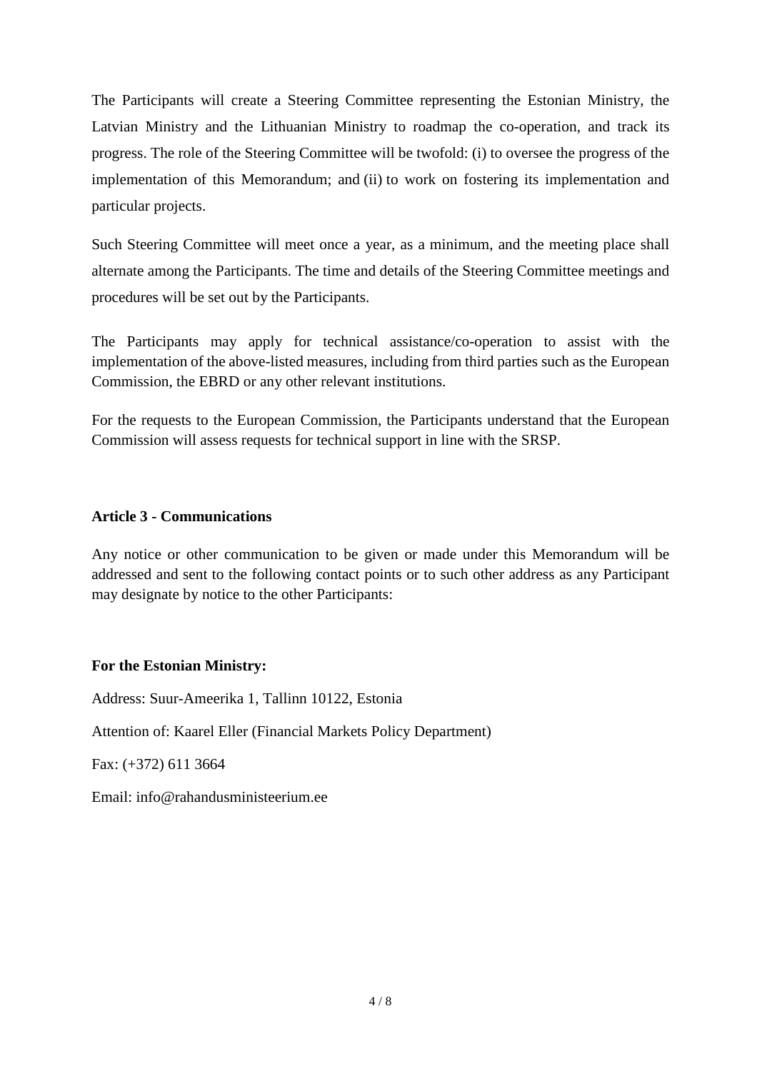The Participants will create a Steering Committee representing the Estonian Ministry, the Latvian Ministry and the Lithuanian Ministry to roadmap the co-operation, and track its progress. The role of the Steering Committee will be twofold: (i) to oversee the progress of the implementation of this Memorandum; and (ii) to work on fostering its implementation and particular projects.

Such Steering Committee will meet once a year, as a minimum, and the meeting place shall alternate among the Participants. The time and details of the Steering Committee meetings and procedures will be set out by the Participants.

The Participants may apply for technical assistance/co-operation to assist with the implementation of the above-listed measures, including from third parties such as the European Commission, the EBRD or any other relevant institutions.

For the requests to the European Commission, the Participants understand that the European Commission will assess requests for technical support in line with the SRSP.

## **Article 3 - Communications**

Any notice or other communication to be given or made under this Memorandum will be addressed and sent to the following contact points or to such other address as any Participant may designate by notice to the other Participants:

# **For the Estonian Ministry:**

Address: Suur-Ameerika 1, Tallinn 10122, Estonia

Attention of: Kaarel Eller (Financial Markets Policy Department)

Fax: (+372) 611 3664

Email: info@rahandusministeerium.ee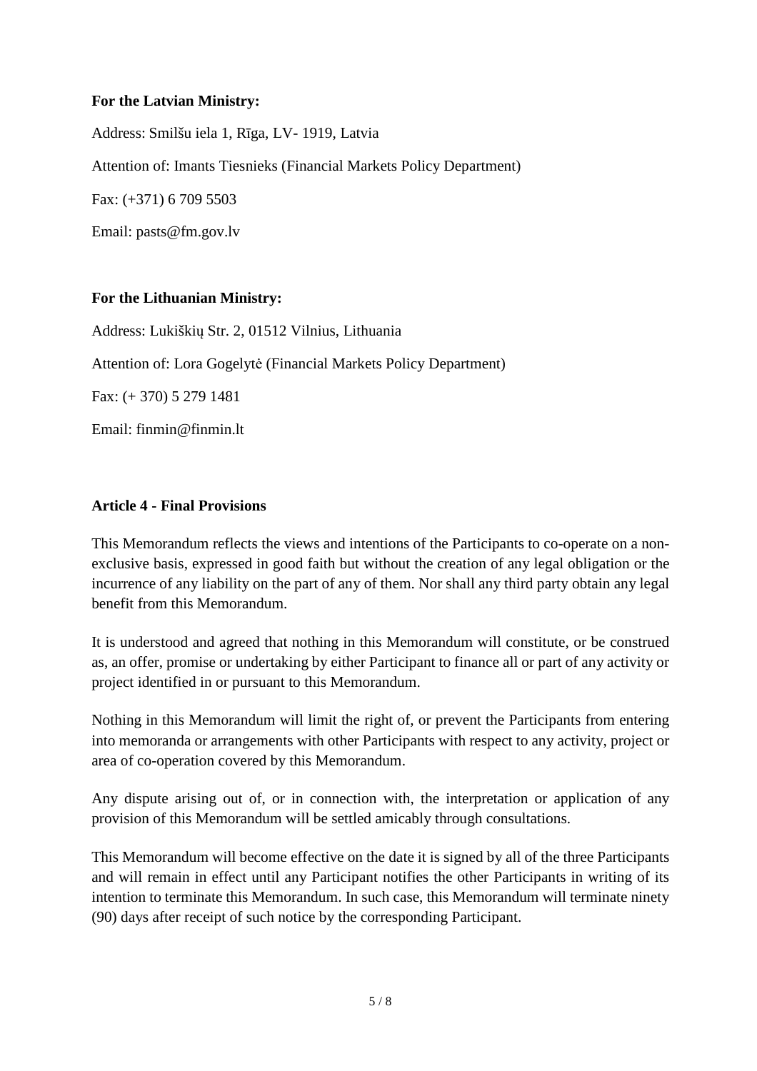## **For the Latvian Ministry:**

Address: Smilšu iela 1, Rīga, LV- 1919, Latvia Attention of: Imants Tiesnieks (Financial Markets Policy Department)

Fax: (+371) 6 709 5503

Email: pasts@fm.gov.lv

## **For the Lithuanian Ministry:**

Address: Lukiškių Str. 2, 01512 Vilnius, Lithuania Attention of: Lora Gogelytė (Financial Markets Policy Department)

Fax: (+ 370) 5 279 1481

Email: finmin@finmin.lt

## **Article 4 - Final Provisions**

This Memorandum reflects the views and intentions of the Participants to co-operate on a nonexclusive basis, expressed in good faith but without the creation of any legal obligation or the incurrence of any liability on the part of any of them. Nor shall any third party obtain any legal benefit from this Memorandum.

It is understood and agreed that nothing in this Memorandum will constitute, or be construed as, an offer, promise or undertaking by either Participant to finance all or part of any activity or project identified in or pursuant to this Memorandum.

Nothing in this Memorandum will limit the right of, or prevent the Participants from entering into memoranda or arrangements with other Participants with respect to any activity, project or area of co-operation covered by this Memorandum.

Any dispute arising out of, or in connection with, the interpretation or application of any provision of this Memorandum will be settled amicably through consultations.

This Memorandum will become effective on the date it is signed by all of the three Participants and will remain in effect until any Participant notifies the other Participants in writing of its intention to terminate this Memorandum. In such case, this Memorandum will terminate ninety (90) days after receipt of such notice by the corresponding Participant.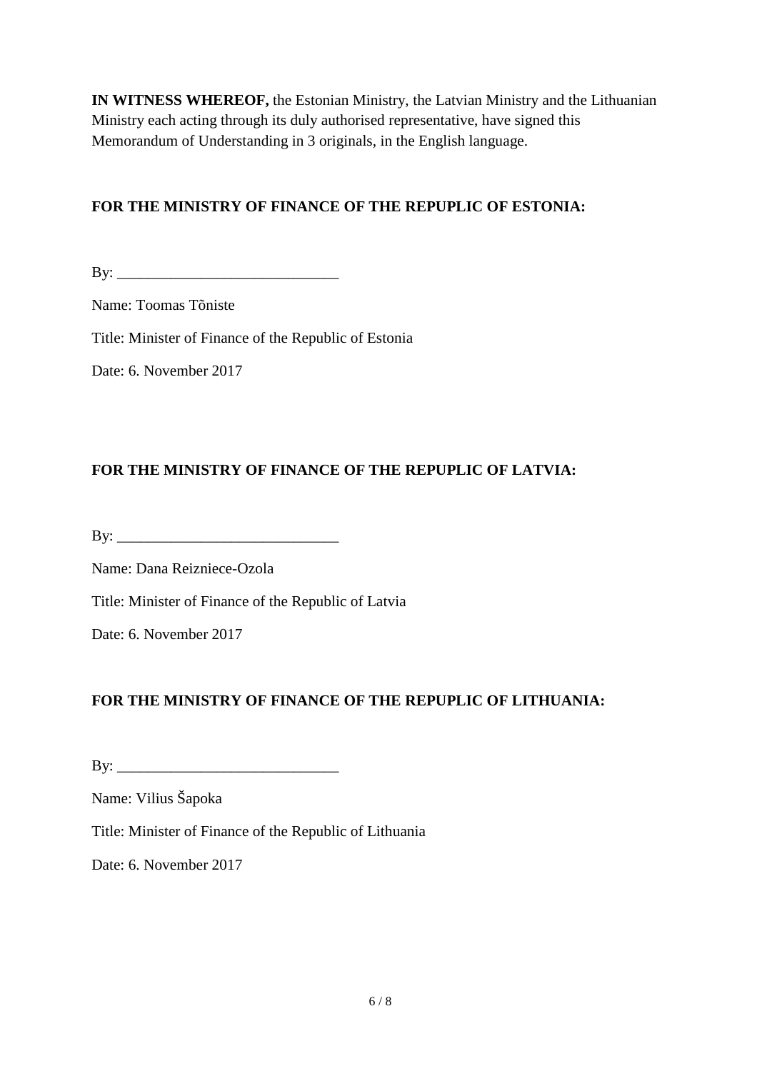**IN WITNESS WHEREOF,** the Estonian Ministry, the Latvian Ministry and the Lithuanian Ministry each acting through its duly authorised representative, have signed this Memorandum of Understanding in 3 originals, in the English language.

# **FOR THE MINISTRY OF FINANCE OF THE REPUPLIC OF ESTONIA:**

 $\mathbf{By:}$ 

Name: Toomas Tõniste

Title: Minister of Finance of the Republic of Estonia

Date: 6. November 2017

# **FOR THE MINISTRY OF FINANCE OF THE REPUPLIC OF LATVIA:**

 $\mathbf{B} \mathbf{y}$ :

Name: Dana Reizniece-Ozola

Title: Minister of Finance of the Republic of Latvia

Date: 6. November 2017

# **FOR THE MINISTRY OF FINANCE OF THE REPUPLIC OF LITHUANIA:**

By: \_\_\_\_\_\_\_\_\_\_\_\_\_\_\_\_\_\_\_\_\_\_\_\_\_\_\_\_\_

Name: Vilius Šapoka

Title: Minister of Finance of the Republic of Lithuania

Date: 6. November 2017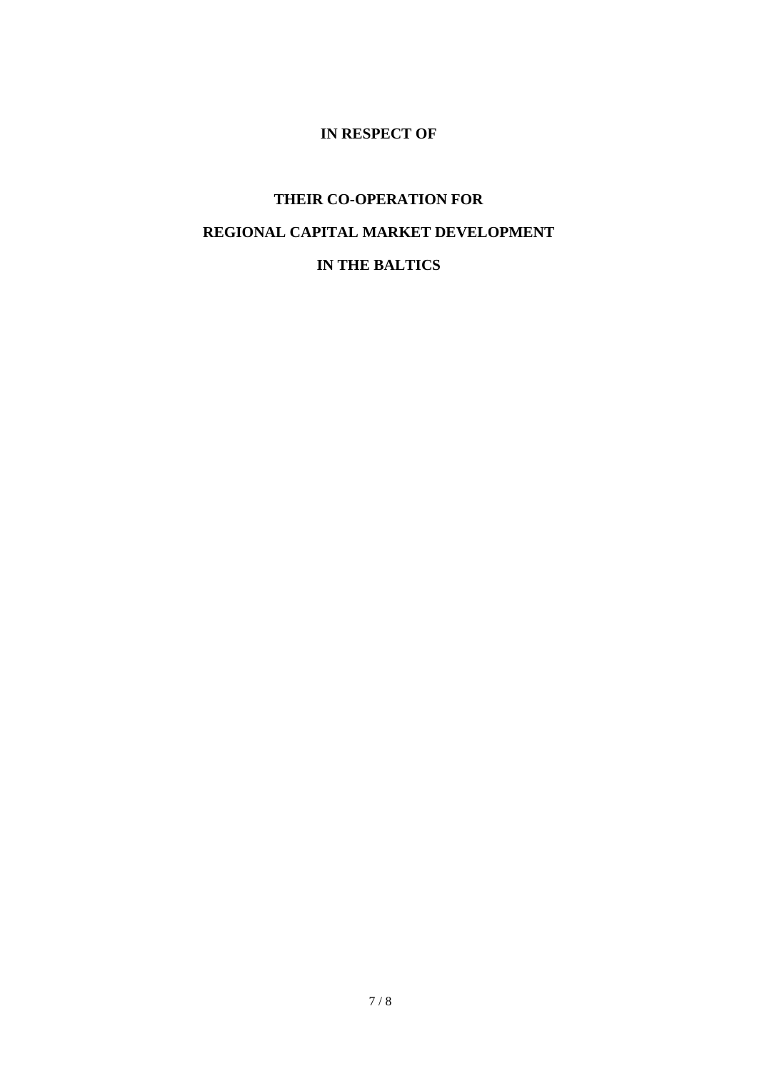# **IN RESPECT OF**

# **THEIR CO-OPERATION FOR REGIONAL CAPITAL MARKET DEVELOPMENT IN THE BALTICS**